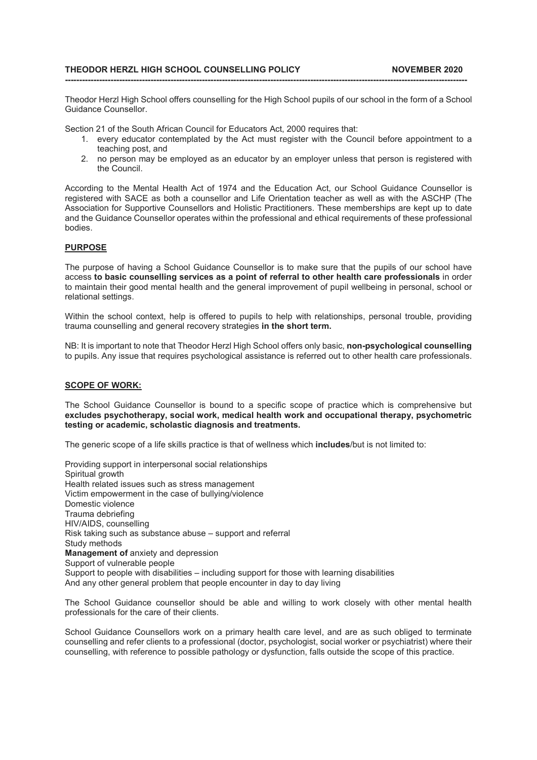## THEODOR HERZL HIGH SCHOOL COUNSELLING POLICY NOVEMBER 2020

Theodor Herzl High School offers counselling for the High School pupils of our school in the form of a School Guidance Counsellor.

---------------------------------------------------------------------------------------------------------------------------------------------

Section 21 of the South African Council for Educators Act, 2000 requires that:

- 1. every educator contemplated by the Act must register with the Council before appointment to a teaching post, and
- 2. no person may be employed as an educator by an employer unless that person is registered with the Council.

According to the Mental Health Act of 1974 and the Education Act, our School Guidance Counsellor is registered with SACE as both a counsellor and Life Orientation teacher as well as with the ASCHP (The Association for Supportive Counsellors and Holistic Practitioners. These memberships are kept up to date and the Guidance Counsellor operates within the professional and ethical requirements of these professional bodies.

## PURPOSE

The purpose of having a School Guidance Counsellor is to make sure that the pupils of our school have access to basic counselling services as a point of referral to other health care professionals in order to maintain their good mental health and the general improvement of pupil wellbeing in personal, school or relational settings.

Within the school context, help is offered to pupils to help with relationships, personal trouble, providing trauma counselling and general recovery strategies in the short term.

NB: It is important to note that Theodor Herzl High School offers only basic, non-psychological counselling to pupils. Any issue that requires psychological assistance is referred out to other health care professionals.

## SCOPE OF WORK:

The School Guidance Counsellor is bound to a specific scope of practice which is comprehensive but excludes psychotherapy, social work, medical health work and occupational therapy, psychometric testing or academic, scholastic diagnosis and treatments.

The generic scope of a life skills practice is that of wellness which **includes**/but is not limited to:

Providing support in interpersonal social relationships Spiritual growth Health related issues such as stress management Victim empowerment in the case of bullying/violence Domestic violence Trauma debriefing HIV/AIDS, counselling Risk taking such as substance abuse – support and referral Study methods Management of anxiety and depression Support of vulnerable people Support to people with disabilities – including support for those with learning disabilities And any other general problem that people encounter in day to day living

The School Guidance counsellor should be able and willing to work closely with other mental health professionals for the care of their clients.

School Guidance Counsellors work on a primary health care level, and are as such obliged to terminate counselling and refer clients to a professional (doctor, psychologist, social worker or psychiatrist) where their counselling, with reference to possible pathology or dysfunction, falls outside the scope of this practice.